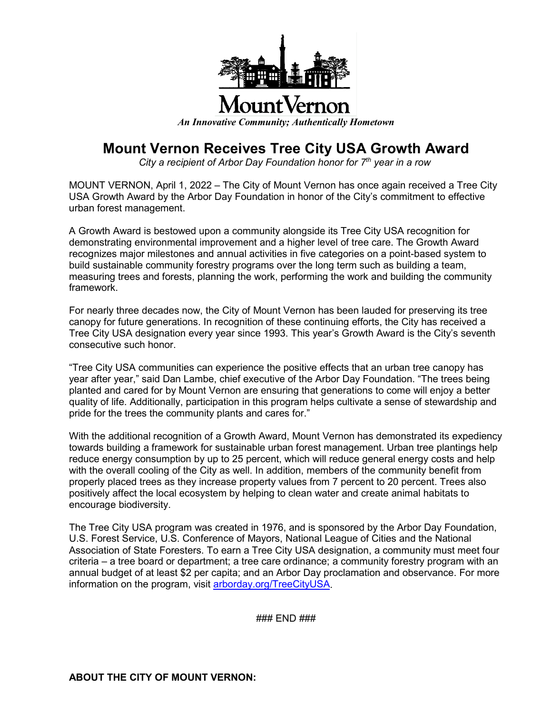

## **Mount Vernon Receives Tree City USA Growth Award**

*City a recipient of Arbor Day Foundation honor for 7th year in a row*

MOUNT VERNON, April 1, 2022 – The City of Mount Vernon has once again received a Tree City USA Growth Award by the Arbor Day Foundation in honor of the City's commitment to effective urban forest management.

A Growth Award is bestowed upon a community alongside its Tree City USA recognition for demonstrating environmental improvement and a higher level of tree care. The Growth Award recognizes major milestones and annual activities in five categories on a point-based system to build sustainable community forestry programs over the long term such as building a team, measuring trees and forests, planning the work, performing the work and building the community framework.

For nearly three decades now, the City of Mount Vernon has been lauded for preserving its tree canopy for future generations. In recognition of these continuing efforts, the City has received a Tree City USA designation every year since 1993. This year's Growth Award is the City's seventh consecutive such honor.

"Tree City USA communities can experience the positive effects that an urban tree canopy has year after year," said Dan Lambe, chief executive of the Arbor Day Foundation. "The trees being planted and cared for by Mount Vernon are ensuring that generations to come will enjoy a better quality of life. Additionally, participation in this program helps cultivate a sense of stewardship and pride for the trees the community plants and cares for."

With the additional recognition of a Growth Award, Mount Vernon has demonstrated its expediency towards building a framework for sustainable urban forest management. Urban tree plantings help reduce energy consumption by up to 25 percent, which will reduce general energy costs and help with the overall cooling of the City as well. In addition, members of the community benefit from properly placed trees as they increase property values from 7 percent to 20 percent. Trees also positively affect the local ecosystem by helping to clean water and create animal habitats to encourage biodiversity.

The Tree City USA program was created in 1976, and is sponsored by the Arbor Day Foundation, U.S. Forest Service, U.S. Conference of Mayors, National League of Cities and the National Association of State Foresters. To earn a Tree City USA designation, a community must meet four criteria – a tree board or department; a tree care ordinance; a community forestry program with an annual budget of at least \$2 per capita; and an Arbor Day proclamation and observance. For more information on the program, visit [arborday.org/TreeCityUSA.](file://dc01-eng/Safety%20Service%20Share/Todd/Press%20Release%20-%20Mayor/2021/8-31-21%20Tree%20City.docx)

### END ###